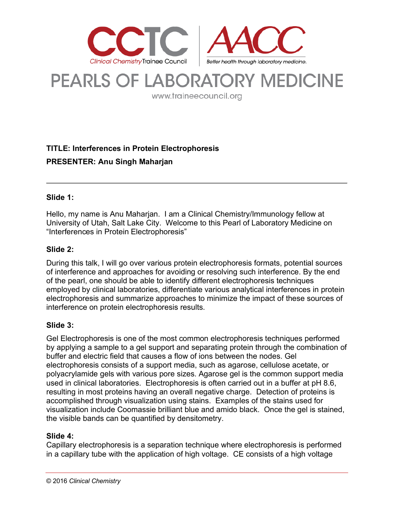

# **PEARLS OF LABORATORY MEDICINE**

www.traineecouncil.org

# **TITLE: Interferences in Protein Electrophoresis PRESENTER: Anu Singh Maharjan**

#### **Slide 1:**

Hello, my name is Anu Maharjan. I am a Clinical Chemistry/Immunology fellow at University of Utah, Salt Lake City. Welcome to this Pearl of Laboratory Medicine on "Interferences in Protein Electrophoresis"

# **Slide 2:**

During this talk, I will go over various protein electrophoresis formats, potential sources of interference and approaches for avoiding or resolving such interference. By the end of the pearl, one should be able to identify different electrophoresis techniques employed by clinical laboratories, differentiate various analytical interferences in protein electrophoresis and summarize approaches to minimize the impact of these sources of interference on protein electrophoresis results.

# **Slide 3:**

Gel Electrophoresis is one of the most common electrophoresis techniques performed by applying a sample to a gel support and separating protein through the combination of buffer and electric field that causes a flow of ions between the nodes. Gel electrophoresis consists of a support media, such as agarose, cellulose acetate, or polyacrylamide gels with various pore sizes. Agarose gel is the common support media used in clinical laboratories. Electrophoresis is often carried out in a buffer at pH 8.6, resulting in most proteins having an overall negative charge. Detection of proteins is accomplished through visualization using stains. Examples of the stains used for visualization include Coomassie brilliant blue and amido black. Once the gel is stained, the visible bands can be quantified by densitometry.

#### **Slide 4:**

Capillary electrophoresis is a separation technique where electrophoresis is performed in a capillary tube with the application of high voltage. CE consists of a high voltage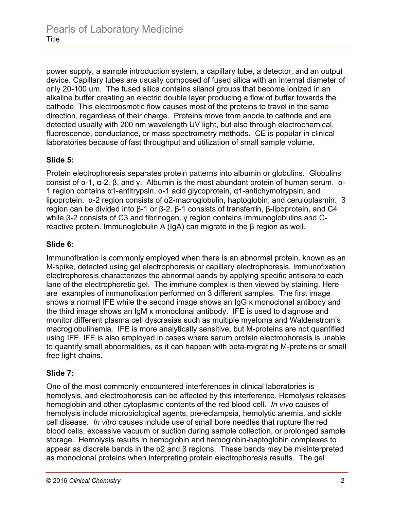power supply, a sample introduction system, a capillary tube, a detector, and an output device. Capillary tubes are usually composed of fused silica with an internal diameter of only 20-100 um. The fused silica contains silanol groups that become ionized in an alkaline buffer creating an electric double layer producing a flow of buffer towards the cathode. This electroosmotic flow causes most of the proteins to travel in the same direction, regardless of their charge. Proteins move from anode to cathode and are detected usually with 200 nm wavelength UV light, but also through electrochemical, fluorescence, conductance, or mass spectrometry methods. CE is popular in clinical laboratories because of fast throughput and utilization of small sample volume.

# **Slide 5:**

Protein electrophoresis separates protein patterns into albumin or globulins. Globulins consist of α-1, α-2, β, and γ. Albumin is the most abundant protein of human serum. α-1 region contains α1-antitrypsin, α-1 acid glycoprotein, α1-antichymotrypsin, and lipoprotein. α-2 region consists of α2-macroglobulin, haptoglobin, and ceruloplasmin. β region can be divided into β-1 or β-2. β-1 consists of transferrin, β-lipoprotein, and C4 while β-2 consists of C3 and fibrinogen. γ region contains immunoglobulins and Creactive protein. Immunoglobulin A (IgA) can migrate in the β region as well.

#### **Slide 6:**

**I**mmunofixation is commonly employed when there is an abnormal protein, known as an M-spike, detected using gel electrophoresis or capillary electrophoresis. Immunofixation electrophoresis characterizes the abnormal bands by applying specific antisera to each lane of the electrophoretic gel. The immune complex is then viewed by staining. Here are examples of immunofixation performed on 3 different samples. The first image shows a normal IFE while the second image shows an IgG κ monoclonal antibody and the third image shows an IgM κ monoclonal antibody. IFE is used to diagnose and monitor different plasma cell dyscrasias such as multiple myeloma and Waldenstrom's macroglobulinemia. IFE is more analytically sensitive, but M-proteins are not quantified using IFE. IFE is also employed in cases where serum protein electrophoresis is unable to quantify small abnormalities, as it can happen with beta-migrating M-proteins or small free light chains.

# **Slide 7:**

One of the most commonly encountered interferences in clinical laboratories is hemolysis, and electrophoresis can be affected by this interference. Hemolysis releases hemoglobin and other cytoplasmic contents of the red blood cell. *In vivo* causes of hemolysis include microbiological agents, pre-eclampsia, hemolytic anemia, and sickle cell disease. *In vitro* causes include use of small bore needles that rupture the red blood cells, excessive vacuum or suction during sample collection, or prolonged sample storage. Hemolysis results in hemoglobin and hemoglobin-haptoglobin complexes to appear as discrete bands in the  $\alpha$ 2 and  $\beta$  regions. These bands may be misinterpreted as monoclonal proteins when interpreting protein electrophoresis results. The gel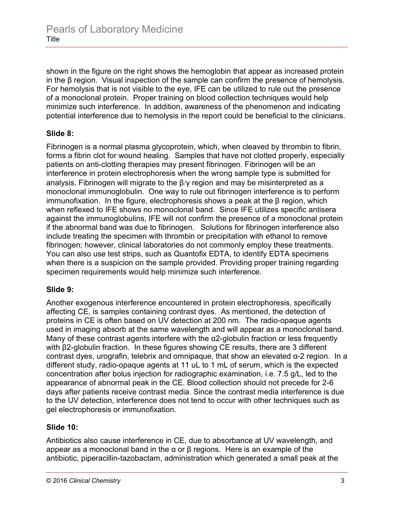shown in the figure on the right shows the hemoglobin that appear as increased protein in the β region. Visual inspection of the sample can confirm the presence of hemolysis. For hemolysis that is not visible to the eye, IFE can be utilized to rule out the presence of a monoclonal protein. Proper training on blood collection techniques would help minimize such interference. In addition, awareness of the phenomenon and indicating potential interference due to hemolysis in the report could be beneficial to the clinicians.

# **Slide 8:**

Fibrinogen is a normal plasma glycoprotein, which, when cleaved by thrombin to fibrin, forms a fibrin clot for wound healing. Samples that have not clotted properly, especially patients on anti-clotting therapies may present fibrinogen. Fibrinogen will be an interference in protein electrophoresis when the wrong sample type is submitted for analysis. Fibrinogen will migrate to the β/γ region and may be misinterpreted as a monoclonal immunoglobulin. One way to rule out fibrinogen interference is to perform immunofixation. In the figure, electrophoresis shows a peak at the β region, which when reflexed to IFE shows no monoclonal band. Since IFE utilizes specific antisera against the immunoglobulins, IFE will not confirm the presence of a monoclonal protein if the abnormal band was due to fibrinogen. Solutions for fibrinogen interference also include treating the specimen with thrombin or precipitation with ethanol to remove fibrinogen; however, clinical laboratories do not commonly employ these treatments. You can also use test strips, such as Quantofix EDTA, to identify EDTA specimens when there is a suspicion on the sample provided. Providing proper training regarding specimen requirements would help minimize such interference.

#### **Slide 9:**

Another exogenous interference encountered in protein electrophoresis, specifically affecting CE, is samples containing contrast dyes. As mentioned, the detection of proteins in CE is often based on UV detection at 200 nm. The radio-opaque agents used in imaging absorb at the same wavelength and will appear as a monoclonal band. Many of these contrast agents interfere with the α2-globulin fraction or less frequently with β2-globulin fraction. In these figures showing CE results, there are 3 different contrast dyes, urografin, telebrix and omnipaque, that show an elevated α-2 region. In a different study, radio-opaque agents at 11 uL to 1 mL of serum, which is the expected concentration after bolus injection for radiographic examination, i.e. 7.5 g/L, led to the appearance of abnormal peak in the CE. Blood collection should not precede for 2-6 days after patients receive contrast media. Since the contrast media interference is due to the UV detection, interference does not tend to occur with other techniques such as gel electrophoresis or immunofixation.

# **Slide 10:**

Antibiotics also cause interference in CE, due to absorbance at UV wavelength, and appear as a monoclonal band in the α or β regions. Here is an example of the antibiotic, piperacillin-tazobactam, administration which generated a small peak at the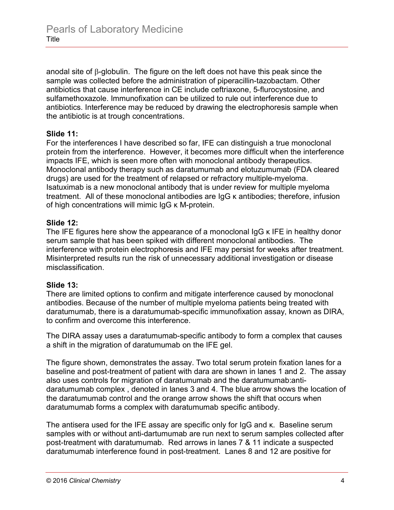anodal site of β-globulin. The figure on the left does not have this peak since the sample was collected before the administration of piperacillin-tazobactam. Other antibiotics that cause interference in CE include ceftriaxone, 5-flurocystosine, and sulfamethoxazole. Immunofixation can be utilized to rule out interference due to antibiotics. Interference may be reduced by drawing the electrophoresis sample when the antibiotic is at trough concentrations.

#### **Slide 11:**

For the interferences I have described so far, IFE can distinguish a true monoclonal protein from the interference. However, it becomes more difficult when the interference impacts IFE, which is seen more often with monoclonal antibody therapeutics. Monoclonal antibody therapy such as daratumumab and elotuzumumab (FDA cleared drugs) are used for the treatment of relapsed or refractory multiple-myeloma. Isatuximab is a new monoclonal antibody that is under review for multiple myeloma treatment. All of these monoclonal antibodies are IgG κ antibodies; therefore, infusion of high concentrations will mimic IgG κ M-protein.

#### **Slide 12:**

The IFE figures here show the appearance of a monoclonal IgG κ IFE in healthy donor serum sample that has been spiked with different monoclonal antibodies. The interference with protein electrophoresis and IFE may persist for weeks after treatment. Misinterpreted results run the risk of unnecessary additional investigation or disease misclassification.

#### **Slide 13:**

There are limited options to confirm and mitigate interference caused by monoclonal antibodies. Because of the number of multiple myeloma patients being treated with daratumumab, there is a daratumumab-specific immunofixation assay, known as DIRA, to confirm and overcome this interference.

The DIRA assay uses a daratumumab-specific antibody to form a complex that causes a shift in the migration of daratumumab on the IFE gel.

The figure shown, demonstrates the assay. Two total serum protein fixation lanes for a baseline and post-treatment of patient with dara are shown in lanes 1 and 2. The assay also uses controls for migration of daratumumab and the daratumumab:antidaratumumab complex , denoted in lanes 3 and 4. The blue arrow shows the location of the daratumumab control and the orange arrow shows the shift that occurs when daratumumab forms a complex with daratumumab specific antibody.

The antisera used for the IFE assay are specific only for IgG and κ. Baseline serum samples with or without anti-dartumumab are run next to serum samples collected after post-treatment with daratumumab. Red arrows in lanes 7 & 11 indicate a suspected daratumumab interference found in post-treatment. Lanes 8 and 12 are positive for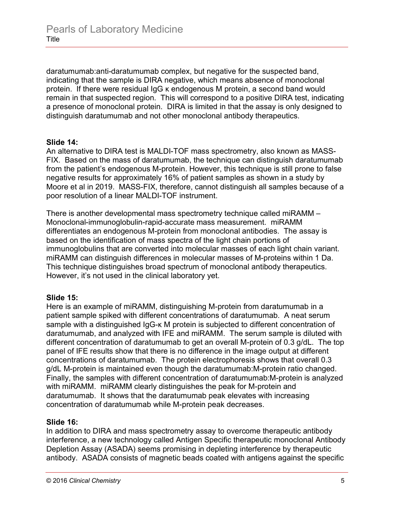daratumumab:anti-daratumumab complex, but negative for the suspected band, indicating that the sample is DIRA negative, which means absence of monoclonal protein. If there were residual IgG κ endogenous M protein, a second band would remain in that suspected region. This will correspond to a positive DIRA test, indicating a presence of monoclonal protein. DIRA is limited in that the assay is only designed to distinguish daratumumab and not other monoclonal antibody therapeutics.

#### **Slide 14:**

An alternative to DIRA test is MALDI-TOF mass spectrometry, also known as MASS-FIX. Based on the mass of daratumumab, the technique can distinguish daratumumab from the patient's endogenous M-protein. However, this technique is still prone to false negative results for approximately 16% of patient samples as shown in a study by Moore et al in 2019. MASS-FIX, therefore, cannot distinguish all samples because of a poor resolution of a linear MALDI-TOF instrument.

There is another developmental mass spectrometry technique called miRAMM – Monoclonal-immunoglobulin-rapid-accurate mass measurement. miRAMM differentiates an endogenous M-protein from monoclonal antibodies. The assay is based on the identification of mass spectra of the light chain portions of immunoglobulins that are converted into molecular masses of each light chain variant. miRAMM can distinguish differences in molecular masses of M-proteins within 1 Da. This technique distinguishes broad spectrum of monoclonal antibody therapeutics. However, it's not used in the clinical laboratory yet.

# **Slide 15:**

Here is an example of miRAMM, distinguishing M-protein from daratumumab in a patient sample spiked with different concentrations of daratumumab. A neat serum sample with a distinguished IgG-κ M protein is subjected to different concentration of daratumumab, and analyzed with IFE and miRAMM. The serum sample is diluted with different concentration of daratumumab to get an overall M-protein of 0.3 g/dL. The top panel of IFE results show that there is no difference in the image output at different concentrations of daratumumab. The protein electrophoresis shows that overall 0.3 g/dL M-protein is maintained even though the daratumumab:M-protein ratio changed. Finally, the samples with different concentration of daratumumab:M-protein is analyzed with miRAMM. miRAMM clearly distinguishes the peak for M-protein and daratumumab. It shows that the daratumumab peak elevates with increasing concentration of daratumumab while M-protein peak decreases.

# **Slide 16:**

In addition to DIRA and mass spectrometry assay to overcome therapeutic antibody interference, a new technology called Antigen Specific therapeutic monoclonal Antibody Depletion Assay (ASADA) seems promising in depleting interference by therapeutic antibody. ASADA consists of magnetic beads coated with antigens against the specific